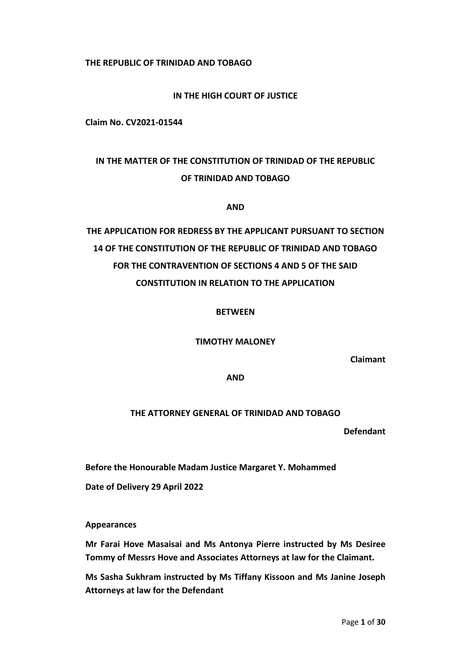**THE REPUBLIC OF TRINIDAD AND TOBAGO**

### **IN THE HIGH COURT OF JUSTICE**

**Claim No. CV2021-01544**

## **IN THE MATTER OF THE CONSTITUTION OF TRINIDAD OF THE REPUBLIC OF TRINIDAD AND TOBAGO**

#### **AND**

# **THE APPLICATION FOR REDRESS BY THE APPLICANT PURSUANT TO SECTION 14 OF THE CONSTITUTION OF THE REPUBLIC OF TRINIDAD AND TOBAGO FOR THE CONTRAVENTION OF SECTIONS 4 AND 5 OF THE SAID CONSTITUTION IN RELATION TO THE APPLICATION**

#### **BETWEEN**

#### **TIMOTHY MALONEY**

**Claimant**

**AND**

### **THE ATTORNEY GENERAL OF TRINIDAD AND TOBAGO**

**Defendant**

**Before the Honourable Madam Justice Margaret Y. Mohammed**

**Date of Delivery 29 April 2022**

#### **Appearances**

**Mr Farai Hove Masaisai and Ms Antonya Pierre instructed by Ms Desiree Tommy of Messrs Hove and Associates Attorneys at law for the Claimant.**

**Ms Sasha Sukhram instructed by Ms Tiffany Kissoon and Ms Janine Joseph Attorneys at law for the Defendant**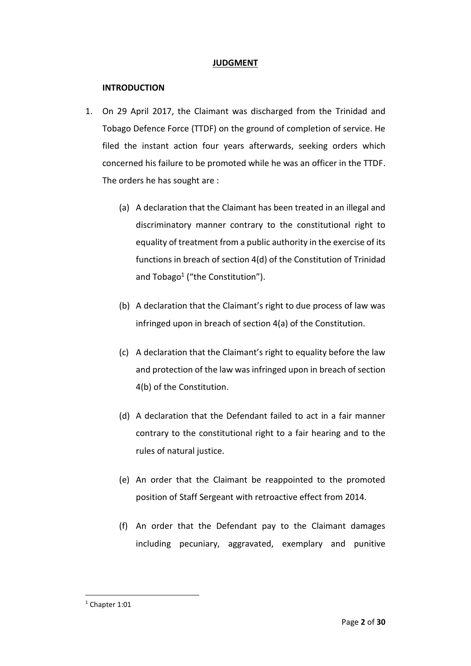#### **JUDGMENT**

#### **INTRODUCTION**

- 1. On 29 April 2017, the Claimant was discharged from the Trinidad and Tobago Defence Force (TTDF) on the ground of completion of service. He filed the instant action four years afterwards, seeking orders which concerned his failure to be promoted while he was an officer in the TTDF. The orders he has sought are :
	- (a) A declaration that the Claimant has been treated in an illegal and discriminatory manner contrary to the constitutional right to equality of treatment from a public authority in the exercise of its functions in breach of section 4(d) of the Constitution of Trinidad and Tobago<sup>1</sup> ("the Constitution").
	- (b) A declaration that the Claimant's right to due process of law was infringed upon in breach of section 4(a) of the Constitution.
	- (c) A declaration that the Claimant's right to equality before the law and protection of the law was infringed upon in breach of section 4(b) of the Constitution.
	- (d) A declaration that the Defendant failed to act in a fair manner contrary to the constitutional right to a fair hearing and to the rules of natural justice.
	- (e) An order that the Claimant be reappointed to the promoted position of Staff Sergeant with retroactive effect from 2014.
	- (f) An order that the Defendant pay to the Claimant damages including pecuniary, aggravated, exemplary and punitive

 $1$  Chapter 1:01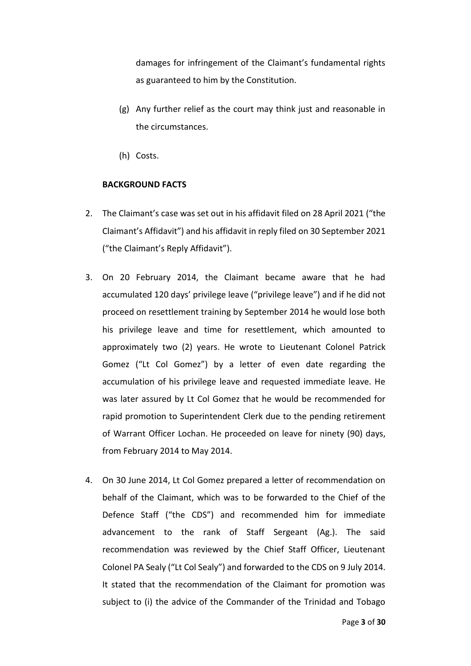damages for infringement of the Claimant's fundamental rights as guaranteed to him by the Constitution.

- (g) Any further relief as the court may think just and reasonable in the circumstances.
- (h) Costs.

#### **BACKGROUND FACTS**

- 2. The Claimant's case was set out in his affidavit filed on 28 April 2021 ("the Claimant's Affidavit") and his affidavit in reply filed on 30 September 2021 ("the Claimant's Reply Affidavit").
- 3. On 20 February 2014, the Claimant became aware that he had accumulated 120 days' privilege leave ("privilege leave") and if he did not proceed on resettlement training by September 2014 he would lose both his privilege leave and time for resettlement, which amounted to approximately two (2) years. He wrote to Lieutenant Colonel Patrick Gomez ("Lt Col Gomez") by a letter of even date regarding the accumulation of his privilege leave and requested immediate leave. He was later assured by Lt Col Gomez that he would be recommended for rapid promotion to Superintendent Clerk due to the pending retirement of Warrant Officer Lochan. He proceeded on leave for ninety (90) days, from February 2014 to May 2014.
- 4. On 30 June 2014, Lt Col Gomez prepared a letter of recommendation on behalf of the Claimant, which was to be forwarded to the Chief of the Defence Staff ("the CDS") and recommended him for immediate advancement to the rank of Staff Sergeant (Ag.). The said recommendation was reviewed by the Chief Staff Officer, Lieutenant Colonel PA Sealy ("Lt Col Sealy") and forwarded to the CDS on 9 July 2014. It stated that the recommendation of the Claimant for promotion was subject to (i) the advice of the Commander of the Trinidad and Tobago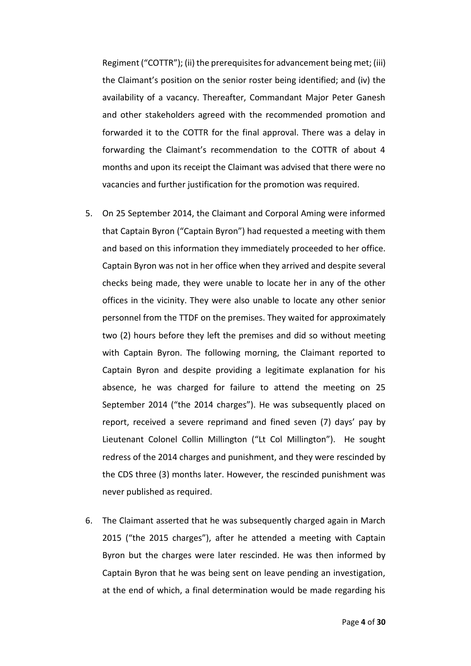Regiment ("COTTR"); (ii) the prerequisites for advancement being met; (iii) the Claimant's position on the senior roster being identified; and (iv) the availability of a vacancy. Thereafter, Commandant Major Peter Ganesh and other stakeholders agreed with the recommended promotion and forwarded it to the COTTR for the final approval. There was a delay in forwarding the Claimant's recommendation to the COTTR of about 4 months and upon its receipt the Claimant was advised that there were no vacancies and further justification for the promotion was required.

- 5. On 25 September 2014, the Claimant and Corporal Aming were informed that Captain Byron ("Captain Byron") had requested a meeting with them and based on this information they immediately proceeded to her office. Captain Byron was not in her office when they arrived and despite several checks being made, they were unable to locate her in any of the other offices in the vicinity. They were also unable to locate any other senior personnel from the TTDF on the premises. They waited for approximately two (2) hours before they left the premises and did so without meeting with Captain Byron. The following morning, the Claimant reported to Captain Byron and despite providing a legitimate explanation for his absence, he was charged for failure to attend the meeting on 25 September 2014 ("the 2014 charges"). He was subsequently placed on report, received a severe reprimand and fined seven (7) days' pay by Lieutenant Colonel Collin Millington ("Lt Col Millington"). He sought redress of the 2014 charges and punishment, and they were rescinded by the CDS three (3) months later. However, the rescinded punishment was never published as required.
- 6. The Claimant asserted that he was subsequently charged again in March 2015 ("the 2015 charges"), after he attended a meeting with Captain Byron but the charges were later rescinded. He was then informed by Captain Byron that he was being sent on leave pending an investigation, at the end of which, a final determination would be made regarding his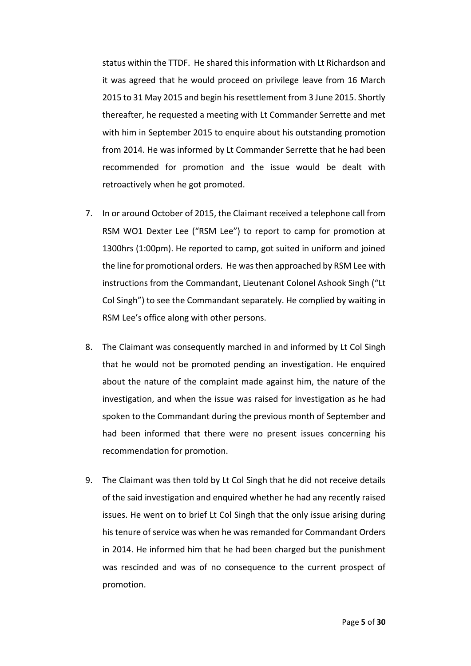status within the TTDF. He shared this information with Lt Richardson and it was agreed that he would proceed on privilege leave from 16 March 2015 to 31 May 2015 and begin his resettlement from 3 June 2015. Shortly thereafter, he requested a meeting with Lt Commander Serrette and met with him in September 2015 to enquire about his outstanding promotion from 2014. He was informed by Lt Commander Serrette that he had been recommended for promotion and the issue would be dealt with retroactively when he got promoted.

- 7. In or around October of 2015, the Claimant received a telephone call from RSM WO1 Dexter Lee ("RSM Lee") to report to camp for promotion at 1300hrs (1:00pm). He reported to camp, got suited in uniform and joined the line for promotional orders. He was then approached by RSM Lee with instructions from the Commandant, Lieutenant Colonel Ashook Singh ("Lt Col Singh") to see the Commandant separately. He complied by waiting in RSM Lee's office along with other persons.
- 8. The Claimant was consequently marched in and informed by Lt Col Singh that he would not be promoted pending an investigation. He enquired about the nature of the complaint made against him, the nature of the investigation, and when the issue was raised for investigation as he had spoken to the Commandant during the previous month of September and had been informed that there were no present issues concerning his recommendation for promotion.
- 9. The Claimant was then told by Lt Col Singh that he did not receive details of the said investigation and enquired whether he had any recently raised issues. He went on to brief Lt Col Singh that the only issue arising during his tenure of service was when he was remanded for Commandant Orders in 2014. He informed him that he had been charged but the punishment was rescinded and was of no consequence to the current prospect of promotion.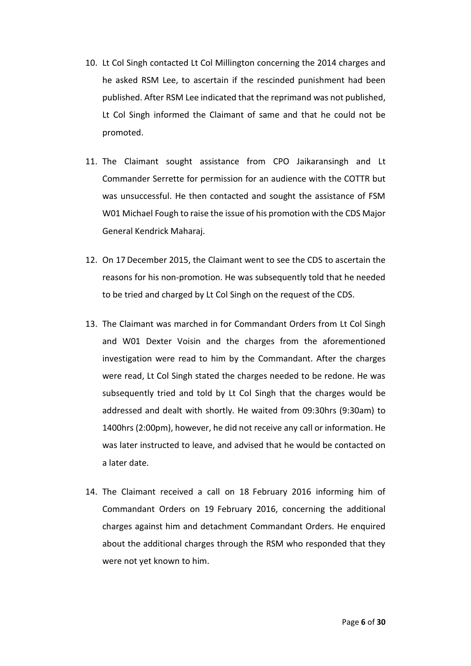- 10. Lt Col Singh contacted Lt Col Millington concerning the 2014 charges and he asked RSM Lee, to ascertain if the rescinded punishment had been published. After RSM Lee indicated that the reprimand was not published, Lt Col Singh informed the Claimant of same and that he could not be promoted.
- 11. The Claimant sought assistance from CPO Jaikaransingh and Lt Commander Serrette for permission for an audience with the COTTR but was unsuccessful. He then contacted and sought the assistance of FSM W01 Michael Fough to raise the issue of his promotion with the CDS Major General Kendrick Maharaj.
- 12. On 17 December 2015, the Claimant went to see the CDS to ascertain the reasons for his non-promotion. He was subsequently told that he needed to be tried and charged by Lt Col Singh on the request of the CDS.
- 13. The Claimant was marched in for Commandant Orders from Lt Col Singh and W01 Dexter Voisin and the charges from the aforementioned investigation were read to him by the Commandant. After the charges were read, Lt Col Singh stated the charges needed to be redone. He was subsequently tried and told by Lt Col Singh that the charges would be addressed and dealt with shortly. He waited from 09:30hrs (9:30am) to 1400hrs (2:00pm), however, he did not receive any call or information. He was later instructed to leave, and advised that he would be contacted on a later date.
- 14. The Claimant received a call on 18 February 2016 informing him of Commandant Orders on 19 February 2016, concerning the additional charges against him and detachment Commandant Orders. He enquired about the additional charges through the RSM who responded that they were not yet known to him.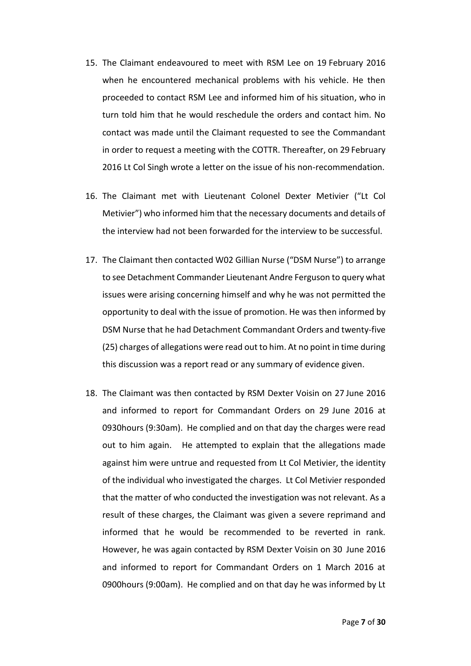- 15. The Claimant endeavoured to meet with RSM Lee on 19 February 2016 when he encountered mechanical problems with his vehicle. He then proceeded to contact RSM Lee and informed him of his situation, who in turn told him that he would reschedule the orders and contact him. No contact was made until the Claimant requested to see the Commandant in order to request a meeting with the COTTR. Thereafter, on 29 February 2016 Lt Col Singh wrote a letter on the issue of his non-recommendation.
- 16. The Claimant met with Lieutenant Colonel Dexter Metivier ("Lt Col Metivier") who informed him that the necessary documents and details of the interview had not been forwarded for the interview to be successful.
- 17. The Claimant then contacted W02 Gillian Nurse ("DSM Nurse") to arrange to see Detachment Commander Lieutenant Andre Ferguson to query what issues were arising concerning himself and why he was not permitted the opportunity to deal with the issue of promotion. He was then informed by DSM Nurse that he had Detachment Commandant Orders and twenty-five (25) charges of allegations were read out to him. At no point in time during this discussion was a report read or any summary of evidence given.
- 18. The Claimant was then contacted by RSM Dexter Voisin on 27 June 2016 and informed to report for Commandant Orders on 29 June 2016 at 0930hours (9:30am). He complied and on that day the charges were read out to him again. He attempted to explain that the allegations made against him were untrue and requested from Lt Col Metivier, the identity of the individual who investigated the charges. Lt Col Metivier responded that the matter of who conducted the investigation was not relevant. As a result of these charges, the Claimant was given a severe reprimand and informed that he would be recommended to be reverted in rank. However, he was again contacted by RSM Dexter Voisin on 30 June 2016 and informed to report for Commandant Orders on 1 March 2016 at 0900hours (9:00am). He complied and on that day he was informed by Lt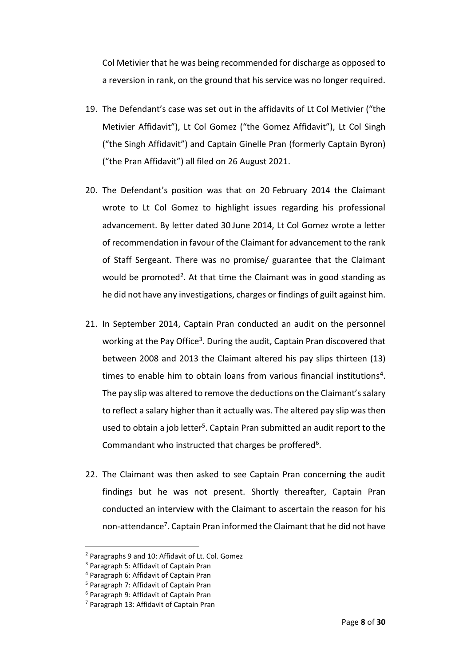Col Metivier that he was being recommended for discharge as opposed to a reversion in rank, on the ground that his service was no longer required.

- 19. The Defendant's case was set out in the affidavits of Lt Col Metivier ("the Metivier Affidavit"), Lt Col Gomez ("the Gomez Affidavit"), Lt Col Singh ("the Singh Affidavit") and Captain Ginelle Pran (formerly Captain Byron) ("the Pran Affidavit") all filed on 26 August 2021.
- 20. The Defendant's position was that on 20 February 2014 the Claimant wrote to Lt Col Gomez to highlight issues regarding his professional advancement. By letter dated 30 June 2014, Lt Col Gomez wrote a letter of recommendation in favour of the Claimant for advancement to the rank of Staff Sergeant. There was no promise/ guarantee that the Claimant would be promoted<sup>2</sup>. At that time the Claimant was in good standing as he did not have any investigations, charges or findings of guilt against him.
- 21. In September 2014, Captain Pran conducted an audit on the personnel working at the Pay Office<sup>3</sup>. During the audit, Captain Pran discovered that between 2008 and 2013 the Claimant altered his pay slips thirteen (13) times to enable him to obtain loans from various financial institutions<sup>4</sup>. The pay slip was altered to remove the deductions on the Claimant's salary to reflect a salary higher than it actually was. The altered pay slip was then used to obtain a job letter<sup>5</sup>. Captain Pran submitted an audit report to the Commandant who instructed that charges be proffered<sup>6</sup>.
- 22. The Claimant was then asked to see Captain Pran concerning the audit findings but he was not present. Shortly thereafter, Captain Pran conducted an interview with the Claimant to ascertain the reason for his non-attendance<sup>7</sup>. Captain Pran informed the Claimant that he did not have

<sup>2</sup> Paragraphs 9 and 10: Affidavit of Lt. Col. Gomez

<sup>3</sup> Paragraph 5: Affidavit of Captain Pran

<sup>4</sup> Paragraph 6: Affidavit of Captain Pran

<sup>5</sup> Paragraph 7: Affidavit of Captain Pran

<sup>6</sup> Paragraph 9: Affidavit of Captain Pran

<sup>7</sup> Paragraph 13: Affidavit of Captain Pran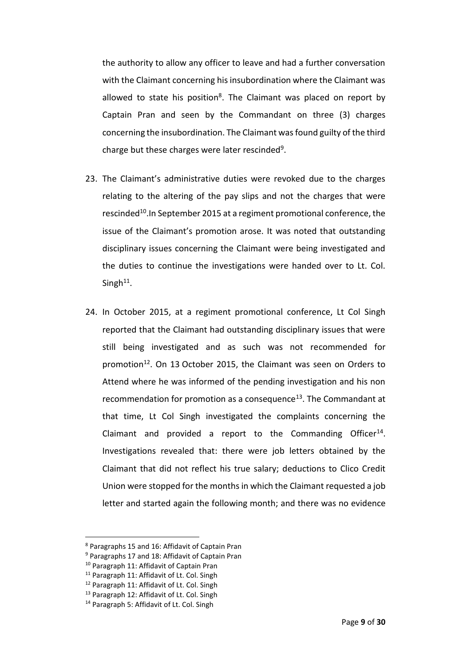the authority to allow any officer to leave and had a further conversation with the Claimant concerning his insubordination where the Claimant was allowed to state his position<sup>8</sup>. The Claimant was placed on report by Captain Pran and seen by the Commandant on three (3) charges concerning the insubordination. The Claimant was found guilty of the third charge but these charges were later rescinded<sup>9</sup>.

- 23. The Claimant's administrative duties were revoked due to the charges relating to the altering of the pay slips and not the charges that were rescinded<sup>10</sup>. In September 2015 at a regiment promotional conference, the issue of the Claimant's promotion arose. It was noted that outstanding disciplinary issues concerning the Claimant were being investigated and the duties to continue the investigations were handed over to Lt. Col. Singh<sup>11</sup>.
- 24. In October 2015, at a regiment promotional conference, Lt Col Singh reported that the Claimant had outstanding disciplinary issues that were still being investigated and as such was not recommended for promotion<sup>12</sup>. On 13 October 2015, the Claimant was seen on Orders to Attend where he was informed of the pending investigation and his non recommendation for promotion as a consequence<sup>13</sup>. The Commandant at that time, Lt Col Singh investigated the complaints concerning the Claimant and provided a report to the Commanding Officer<sup>14</sup>. Investigations revealed that: there were job letters obtained by the Claimant that did not reflect his true salary; deductions to Clico Credit Union were stopped for the monthsin which the Claimant requested a job letter and started again the following month; and there was no evidence

 $\overline{\phantom{a}}$ 

<sup>8</sup> Paragraphs 15 and 16: Affidavit of Captain Pran

<sup>&</sup>lt;sup>9</sup> Paragraphs 17 and 18: Affidavit of Captain Pran

<sup>&</sup>lt;sup>10</sup> Paragraph 11: Affidavit of Captain Pran

<sup>&</sup>lt;sup>11</sup> Paragraph 11: Affidavit of Lt. Col. Singh

<sup>12</sup> Paragraph 11: Affidavit of Lt. Col. Singh

<sup>13</sup> Paragraph 12: Affidavit of Lt. Col. Singh

<sup>&</sup>lt;sup>14</sup> Paragraph 5: Affidavit of Lt. Col. Singh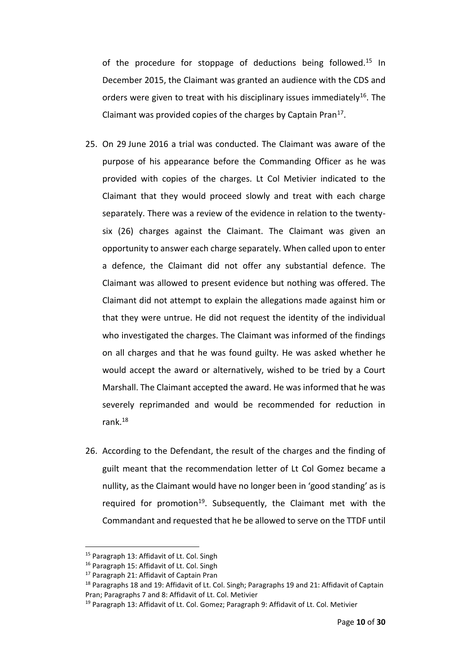of the procedure for stoppage of deductions being followed.<sup>15</sup> In December 2015, the Claimant was granted an audience with the CDS and orders were given to treat with his disciplinary issues immediately<sup>16</sup>. The Claimant was provided copies of the charges by Captain Pran<sup>17</sup>.

- 25. On 29 June 2016 a trial was conducted. The Claimant was aware of the purpose of his appearance before the Commanding Officer as he was provided with copies of the charges. Lt Col Metivier indicated to the Claimant that they would proceed slowly and treat with each charge separately. There was a review of the evidence in relation to the twentysix (26) charges against the Claimant. The Claimant was given an opportunity to answer each charge separately. When called upon to enter a defence, the Claimant did not offer any substantial defence. The Claimant was allowed to present evidence but nothing was offered. The Claimant did not attempt to explain the allegations made against him or that they were untrue. He did not request the identity of the individual who investigated the charges. The Claimant was informed of the findings on all charges and that he was found guilty. He was asked whether he would accept the award or alternatively, wished to be tried by a Court Marshall. The Claimant accepted the award. He was informed that he was severely reprimanded and would be recommended for reduction in rank.<sup>18</sup>
- 26. According to the Defendant, the result of the charges and the finding of guilt meant that the recommendation letter of Lt Col Gomez became a nullity, as the Claimant would have no longer been in 'good standing' as is required for promotion<sup>19</sup>. Subsequently, the Claimant met with the Commandant and requested that he be allowed to serve on the TTDF until

<sup>&</sup>lt;sup>15</sup> Paragraph 13: Affidavit of Lt. Col. Singh

<sup>&</sup>lt;sup>16</sup> Paragraph 15: Affidavit of Lt. Col. Singh

<sup>&</sup>lt;sup>17</sup> Paragraph 21: Affidavit of Captain Pran

<sup>&</sup>lt;sup>18</sup> Paragraphs 18 and 19: Affidavit of Lt. Col. Singh; Paragraphs 19 and 21: Affidavit of Captain Pran; Paragraphs 7 and 8: Affidavit of Lt. Col. Metivier

<sup>19</sup> Paragraph 13: Affidavit of Lt. Col. Gomez; Paragraph 9: Affidavit of Lt. Col. Metivier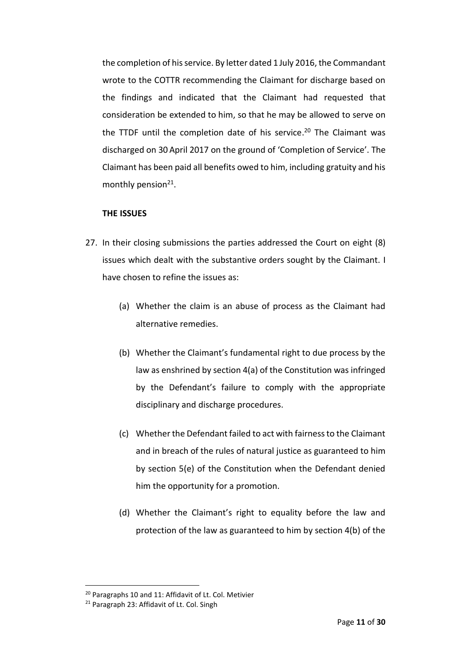the completion of his service. By letter dated 1 July 2016, the Commandant wrote to the COTTR recommending the Claimant for discharge based on the findings and indicated that the Claimant had requested that consideration be extended to him, so that he may be allowed to serve on the TTDF until the completion date of his service. <sup>20</sup> The Claimant was discharged on 30 April 2017 on the ground of 'Completion of Service'. The Claimant has been paid all benefits owed to him, including gratuity and his monthly pension<sup>21</sup>.

#### **THE ISSUES**

- 27. In their closing submissions the parties addressed the Court on eight (8) issues which dealt with the substantive orders sought by the Claimant. I have chosen to refine the issues as:
	- (a) Whether the claim is an abuse of process as the Claimant had alternative remedies.
	- (b) Whether the Claimant's fundamental right to due process by the law as enshrined by section 4(a) of the Constitution was infringed by the Defendant's failure to comply with the appropriate disciplinary and discharge procedures.
	- (c) Whether the Defendant failed to act with fairness to the Claimant and in breach of the rules of natural justice as guaranteed to him by section 5(e) of the Constitution when the Defendant denied him the opportunity for a promotion.
	- (d) Whether the Claimant's right to equality before the law and protection of the law as guaranteed to him by section 4(b) of the

1

<sup>20</sup> Paragraphs 10 and 11: Affidavit of Lt. Col. Metivier

<sup>21</sup> Paragraph 23: Affidavit of Lt. Col. Singh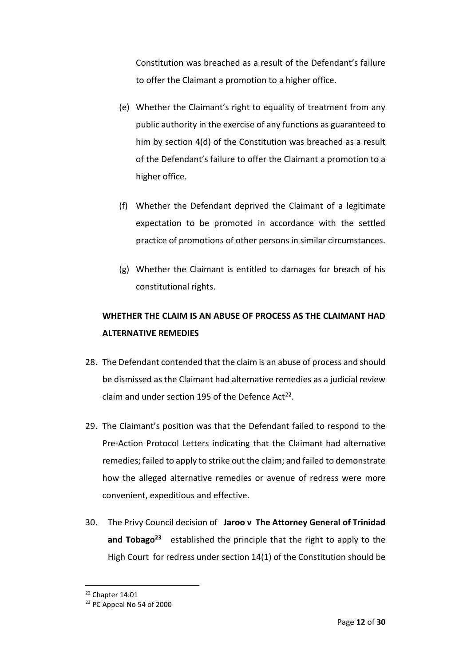Constitution was breached as a result of the Defendant's failure to offer the Claimant a promotion to a higher office.

- (e) Whether the Claimant's right to equality of treatment from any public authority in the exercise of any functions as guaranteed to him by section 4(d) of the Constitution was breached as a result of the Defendant's failure to offer the Claimant a promotion to a higher office.
- (f) Whether the Defendant deprived the Claimant of a legitimate expectation to be promoted in accordance with the settled practice of promotions of other persons in similar circumstances.
- (g) Whether the Claimant is entitled to damages for breach of his constitutional rights.

# **WHETHER THE CLAIM IS AN ABUSE OF PROCESS AS THE CLAIMANT HAD ALTERNATIVE REMEDIES**

- 28. The Defendant contended that the claim is an abuse of process and should be dismissed as the Claimant had alternative remedies as a judicial review claim and under section 195 of the Defence Act<sup>22</sup>.
- 29. The Claimant's position was that the Defendant failed to respond to the Pre-Action Protocol Letters indicating that the Claimant had alternative remedies; failed to apply to strike out the claim; and failed to demonstrate how the alleged alternative remedies or avenue of redress were more convenient, expeditious and effective.
- 30. The Privy Council decision of **Jaroo v The Attorney General of Trinidad and Tobago<sup>23</sup>** established the principle that the right to apply to the High Court for redress under section 14(1) of the Constitution should be

1

<sup>22</sup> Chapter 14:01

<sup>23</sup> PC Appeal No 54 of 2000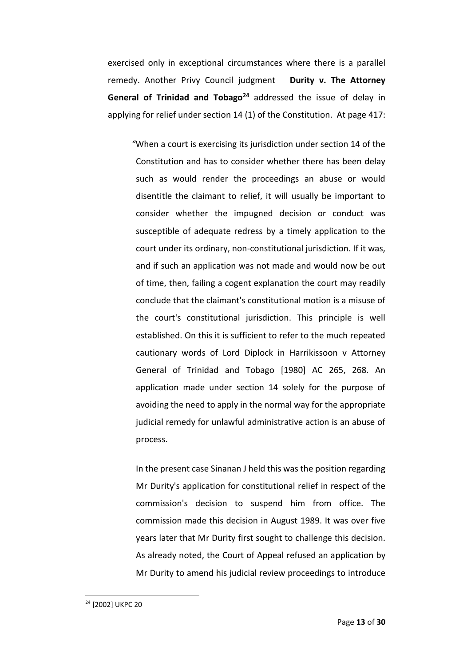exercised only in exceptional circumstances where there is a parallel remedy. Another Privy Council judgment **Durity v. The Attorney General of Trinidad and Tobago<sup>24</sup>** addressed the issue of delay in applying for relief under section 14 (1) of the Constitution. At page 417:

*"*When a court is exercising its jurisdiction under section 14 of the Constitution and has to consider whether there has been delay such as would render the proceedings an abuse or would disentitle the claimant to relief, it will usually be important to consider whether the impugned decision or conduct was susceptible of adequate redress by a timely application to the court under its ordinary, non-constitutional jurisdiction. If it was, and if such an application was not made and would now be out of time, then, failing a cogent explanation the court may readily conclude that the claimant's constitutional motion is a misuse of the court's constitutional jurisdiction. This principle is well established. On this it is sufficient to refer to the much repeated cautionary words of Lord Diplock in Harrikissoon v Attorney General of Trinidad and Tobago [1980] AC 265, 268. An application made under section 14 solely for the purpose of avoiding the need to apply in the normal way for the appropriate judicial remedy for unlawful administrative action is an abuse of process.

In the present case Sinanan J held this was the position regarding Mr Durity's application for constitutional relief in respect of the commission's decision to suspend him from office. The commission made this decision in August 1989. It was over five years later that Mr Durity first sought to challenge this decision. As already noted, the Court of Appeal refused an application by Mr Durity to amend his judicial review proceedings to introduce

<sup>24</sup> [2002] UKPC 20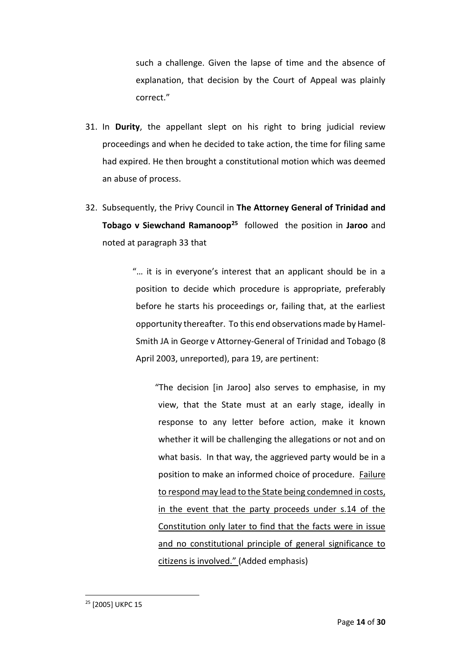such a challenge. Given the lapse of time and the absence of explanation, that decision by the Court of Appeal was plainly correct."

- 31. In **Durity**, the appellant slept on his right to bring judicial review proceedings and when he decided to take action, the time for filing same had expired. He then brought a constitutional motion which was deemed an abuse of process.
- 32. Subsequently, the Privy Council in **The Attorney General of Trinidad and Tobago v Siewchand Ramanoop<sup>25</sup>** followed the position in **Jaroo** and noted at paragraph 33 that

"… it is in everyone's interest that an applicant should be in a position to decide which procedure is appropriate, preferably before he starts his proceedings or, failing that, at the earliest opportunity thereafter. To this end observations made by Hamel-Smith JA in George v Attorney-General of Trinidad and Tobago (8 April 2003, unreported), para 19, are pertinent:

"The decision [in Jaroo] also serves to emphasise, in my view, that the State must at an early stage, ideally in response to any letter before action, make it known whether it will be challenging the allegations or not and on what basis. In that way, the aggrieved party would be in a position to make an informed choice of procedure. Failure to respond may lead to the State being condemned in costs, in the event that the party proceeds under s.14 of the Constitution only later to find that the facts were in issue and no constitutional principle of general significance to citizens is involved." (Added emphasis)

<sup>25</sup> [2005] UKPC 15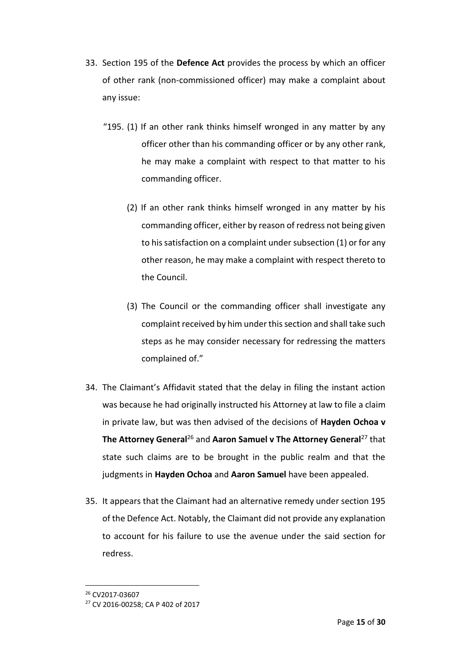- 33. Section 195 of the **Defence Act** provides the process by which an officer of other rank (non-commissioned officer) may make a complaint about any issue:
	- "195. (1) If an other rank thinks himself wronged in any matter by any officer other than his commanding officer or by any other rank, he may make a complaint with respect to that matter to his commanding officer.
		- (2) If an other rank thinks himself wronged in any matter by his commanding officer, either by reason of redress not being given to his satisfaction on a complaint under subsection (1) or for any other reason, he may make a complaint with respect thereto to the Council.
		- (3) The Council or the commanding officer shall investigate any complaint received by him under this section and shall take such steps as he may consider necessary for redressing the matters complained of."
- 34. The Claimant's Affidavit stated that the delay in filing the instant action was because he had originally instructed his Attorney at law to file a claim in private law, but was then advised of the decisions of **Hayden Ochoa v The Attorney General<sup>26</sup> and Aaron Samuel v The Attorney General<sup>27</sup> that** state such claims are to be brought in the public realm and that the judgments in **Hayden Ochoa** and **Aaron Samuel** have been appealed.
- 35. It appears that the Claimant had an alternative remedy under section 195 of the Defence Act. Notably, the Claimant did not provide any explanation to account for his failure to use the avenue under the said section for redress.

1

<sup>26</sup> CV2017-03607

<sup>27</sup> CV 2016-00258; CA P 402 of 2017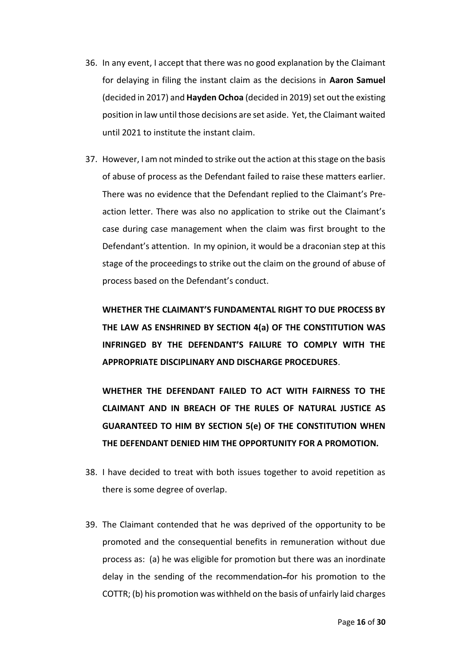- 36. In any event, I accept that there was no good explanation by the Claimant for delaying in filing the instant claim as the decisions in **Aaron Samuel**  (decided in 2017) and **Hayden Ochoa** (decided in 2019) set out the existing position in law until those decisions are set aside. Yet, the Claimant waited until 2021 to institute the instant claim.
- 37. However, I am not minded to strike out the action at this stage on the basis of abuse of process as the Defendant failed to raise these matters earlier. There was no evidence that the Defendant replied to the Claimant's Preaction letter. There was also no application to strike out the Claimant's case during case management when the claim was first brought to the Defendant's attention. In my opinion, it would be a draconian step at this stage of the proceedings to strike out the claim on the ground of abuse of process based on the Defendant's conduct.

**WHETHER THE CLAIMANT'S FUNDAMENTAL RIGHT TO DUE PROCESS BY THE LAW AS ENSHRINED BY SECTION 4(a) OF THE CONSTITUTION WAS INFRINGED BY THE DEFENDANT'S FAILURE TO COMPLY WITH THE APPROPRIATE DISCIPLINARY AND DISCHARGE PROCEDURES**.

**WHETHER THE DEFENDANT FAILED TO ACT WITH FAIRNESS TO THE CLAIMANT AND IN BREACH OF THE RULES OF NATURAL JUSTICE AS GUARANTEED TO HIM BY SECTION 5(e) OF THE CONSTITUTION WHEN THE DEFENDANT DENIED HIM THE OPPORTUNITY FOR A PROMOTION.**

- 38. I have decided to treat with both issues together to avoid repetition as there is some degree of overlap.
- 39. The Claimant contended that he was deprived of the opportunity to be promoted and the consequential benefits in remuneration without due process as: (a) he was eligible for promotion but there was an inordinate delay in the sending of the recommendation for his promotion to the COTTR; (b) his promotion was withheld on the basis of unfairly laid charges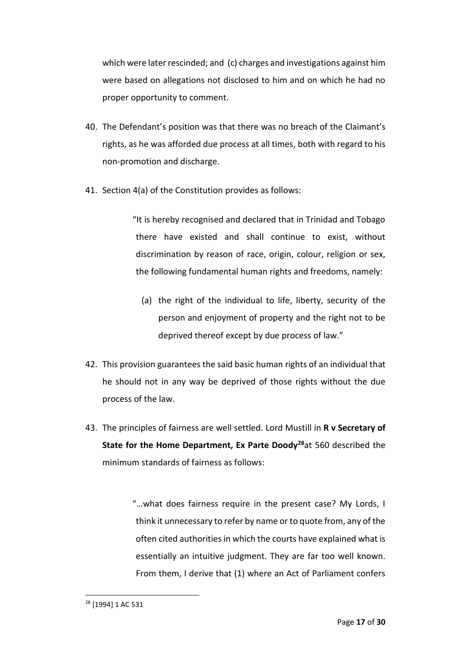which were later rescinded; and (c) charges and investigations against him were based on allegations not disclosed to him and on which he had no proper opportunity to comment.

- 40. The Defendant's position was that there was no breach of the Claimant's rights, as he was afforded due process at all times, both with regard to his non-promotion and discharge.
- 41. Section 4(a) of the Constitution provides as follows:

"It is hereby recognised and declared that in Trinidad and Tobago there have existed and shall continue to exist, without discrimination by reason of race, origin, colour, religion or sex, the following fundamental human rights and freedoms, namely:

- (a) the right of the individual to life, liberty, security of the person and enjoyment of property and the right not to be deprived thereof except by due process of law."
- 42. This provision guarantees the said basic human rights of an individual that he should not in any way be deprived of those rights without the due process of the law.
- 43. The principles of fairness are well settled. Lord Mustill in **R v Secretary of State for the Home Department, Ex Parte Doody<sup>28</sup>**at 560 described the minimum standards of fairness as follows:

"…what does fairness require in the present case? My Lords, I think it unnecessary to refer by name or to quote from, any of the often cited authorities in which the courts have explained what is essentially an intuitive judgment. They are far too well known. From them, I derive that (1) where an Act of Parliament confers

<sup>28</sup> [1994] 1 AC 531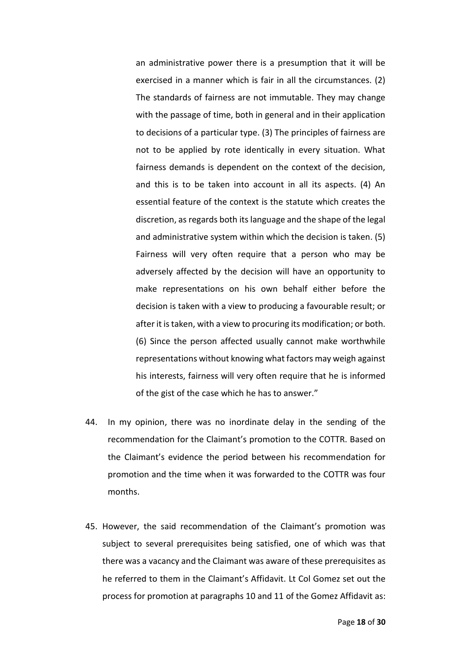an administrative power there is a presumption that it will be exercised in a manner which is fair in all the circumstances. (2) The standards of fairness are not immutable. They may change with the passage of time, both in general and in their application to decisions of a particular type. (3) The principles of fairness are not to be applied by rote identically in every situation. What fairness demands is dependent on the context of the decision, and this is to be taken into account in all its aspects. (4) An essential feature of the context is the statute which creates the discretion, as regards both its language and the shape of the legal and administrative system within which the decision is taken. (5) Fairness will very often require that a person who may be adversely affected by the decision will have an opportunity to make representations on his own behalf either before the decision is taken with a view to producing a favourable result; or after it is taken, with a view to procuring its modification; or both. (6) Since the person affected usually cannot make worthwhile representations without knowing what factors may weigh against his interests, fairness will very often require that he is informed of the gist of the case which he has to answer."

- 44. In my opinion, there was no inordinate delay in the sending of the recommendation for the Claimant's promotion to the COTTR. Based on the Claimant's evidence the period between his recommendation for promotion and the time when it was forwarded to the COTTR was four months.
- 45. However, the said recommendation of the Claimant's promotion was subject to several prerequisites being satisfied, one of which was that there was a vacancy and the Claimant was aware of these prerequisites as he referred to them in the Claimant's Affidavit. Lt Col Gomez set out the process for promotion at paragraphs 10 and 11 of the Gomez Affidavit as: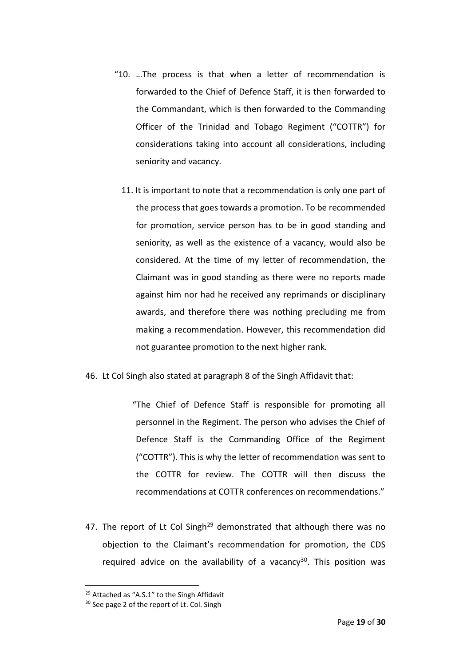- "10. …The process is that when a letter of recommendation is forwarded to the Chief of Defence Staff, it is then forwarded to the Commandant, which is then forwarded to the Commanding Officer of the Trinidad and Tobago Regiment ("COTTR") for considerations taking into account all considerations, including seniority and vacancy.
	- 11. It is important to note that a recommendation is only one part of the process that goes towards a promotion. To be recommended for promotion, service person has to be in good standing and seniority, as well as the existence of a vacancy, would also be considered. At the time of my letter of recommendation, the Claimant was in good standing as there were no reports made against him nor had he received any reprimands or disciplinary awards, and therefore there was nothing precluding me from making a recommendation. However, this recommendation did not guarantee promotion to the next higher rank.
- 46. Lt Col Singh also stated at paragraph 8 of the Singh Affidavit that:

"The Chief of Defence Staff is responsible for promoting all personnel in the Regiment. The person who advises the Chief of Defence Staff is the Commanding Office of the Regiment ("COTTR"). This is why the letter of recommendation was sent to the COTTR for review. The COTTR will then discuss the recommendations at COTTR conferences on recommendations."

47. The report of Lt Col Singh<sup>29</sup> demonstrated that although there was no objection to the Claimant's recommendation for promotion, the CDS required advice on the availability of a vacancy<sup>30</sup>. This position was

1

<sup>&</sup>lt;sup>29</sup> Attached as "A.S.1" to the Singh Affidavit

<sup>&</sup>lt;sup>30</sup> See page 2 of the report of Lt. Col. Singh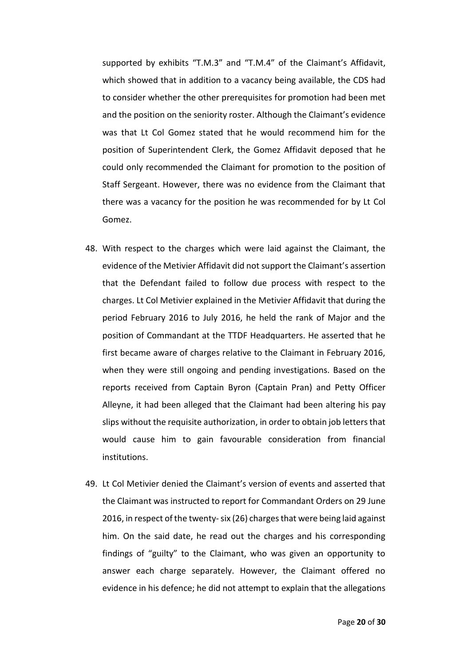supported by exhibits "T.M.3" and "T.M.4" of the Claimant's Affidavit, which showed that in addition to a vacancy being available, the CDS had to consider whether the other prerequisites for promotion had been met and the position on the seniority roster. Although the Claimant's evidence was that Lt Col Gomez stated that he would recommend him for the position of Superintendent Clerk, the Gomez Affidavit deposed that he could only recommended the Claimant for promotion to the position of Staff Sergeant. However, there was no evidence from the Claimant that there was a vacancy for the position he was recommended for by Lt Col Gomez.

- 48. With respect to the charges which were laid against the Claimant, the evidence of the Metivier Affidavit did not support the Claimant's assertion that the Defendant failed to follow due process with respect to the charges. Lt Col Metivier explained in the Metivier Affidavit that during the period February 2016 to July 2016, he held the rank of Major and the position of Commandant at the TTDF Headquarters. He asserted that he first became aware of charges relative to the Claimant in February 2016, when they were still ongoing and pending investigations. Based on the reports received from Captain Byron (Captain Pran) and Petty Officer Alleyne, it had been alleged that the Claimant had been altering his pay slips without the requisite authorization, in order to obtain job letters that would cause him to gain favourable consideration from financial institutions.
- 49. Lt Col Metivier denied the Claimant's version of events and asserted that the Claimant was instructed to report for Commandant Orders on 29 June 2016, in respect of the twenty-six (26) charges that were being laid against him. On the said date, he read out the charges and his corresponding findings of "guilty" to the Claimant, who was given an opportunity to answer each charge separately. However, the Claimant offered no evidence in his defence; he did not attempt to explain that the allegations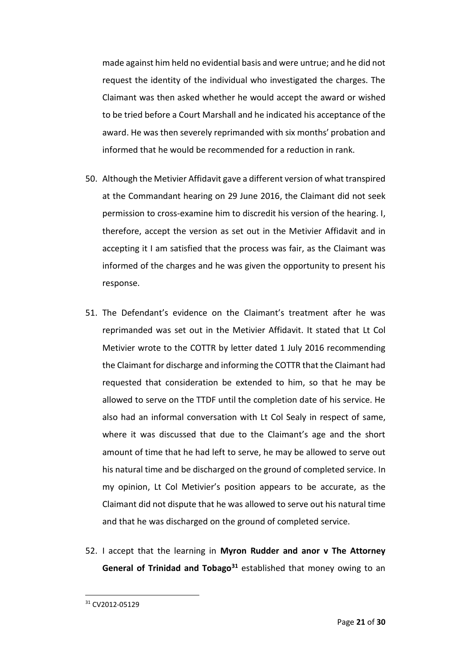made against him held no evidential basis and were untrue; and he did not request the identity of the individual who investigated the charges. The Claimant was then asked whether he would accept the award or wished to be tried before a Court Marshall and he indicated his acceptance of the award. He was then severely reprimanded with six months' probation and informed that he would be recommended for a reduction in rank.

- 50. Although the Metivier Affidavit gave a different version of what transpired at the Commandant hearing on 29 June 2016, the Claimant did not seek permission to cross-examine him to discredit his version of the hearing. I, therefore, accept the version as set out in the Metivier Affidavit and in accepting it I am satisfied that the process was fair, as the Claimant was informed of the charges and he was given the opportunity to present his response.
- 51. The Defendant's evidence on the Claimant's treatment after he was reprimanded was set out in the Metivier Affidavit. It stated that Lt Col Metivier wrote to the COTTR by letter dated 1 July 2016 recommending the Claimant for discharge and informing the COTTR that the Claimant had requested that consideration be extended to him, so that he may be allowed to serve on the TTDF until the completion date of his service. He also had an informal conversation with Lt Col Sealy in respect of same, where it was discussed that due to the Claimant's age and the short amount of time that he had left to serve, he may be allowed to serve out his natural time and be discharged on the ground of completed service. In my opinion, Lt Col Metivier's position appears to be accurate, as the Claimant did not dispute that he was allowed to serve out his natural time and that he was discharged on the ground of completed service.
- 52. I accept that the learning in **Myron Rudder and anor v The Attorney General of Trinidad and Tobago<sup>31</sup>** established that money owing to an

<sup>31</sup> CV2012-05129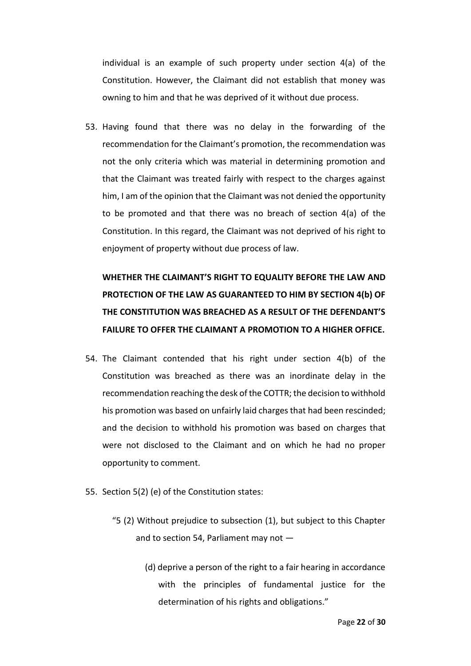individual is an example of such property under section 4(a) of the Constitution. However, the Claimant did not establish that money was owning to him and that he was deprived of it without due process.

53. Having found that there was no delay in the forwarding of the recommendation for the Claimant's promotion, the recommendation was not the only criteria which was material in determining promotion and that the Claimant was treated fairly with respect to the charges against him, I am of the opinion that the Claimant was not denied the opportunity to be promoted and that there was no breach of section 4(a) of the Constitution. In this regard, the Claimant was not deprived of his right to enjoyment of property without due process of law.

**WHETHER THE CLAIMANT'S RIGHT TO EQUALITY BEFORE THE LAW AND PROTECTION OF THE LAW AS GUARANTEED TO HIM BY SECTION 4(b) OF THE CONSTITUTION WAS BREACHED AS A RESULT OF THE DEFENDANT'S FAILURE TO OFFER THE CLAIMANT A PROMOTION TO A HIGHER OFFICE.**

- 54. The Claimant contended that his right under section 4(b) of the Constitution was breached as there was an inordinate delay in the recommendation reaching the desk of the COTTR; the decision to withhold his promotion was based on unfairly laid charges that had been rescinded; and the decision to withhold his promotion was based on charges that were not disclosed to the Claimant and on which he had no proper opportunity to comment.
- 55. Section 5(2) (e) of the Constitution states:
	- "5 (2) Without prejudice to subsection (1), but subject to this Chapter and to section 54, Parliament may not —
		- (d) deprive a person of the right to a fair hearing in accordance with the principles of fundamental justice for the determination of his rights and obligations."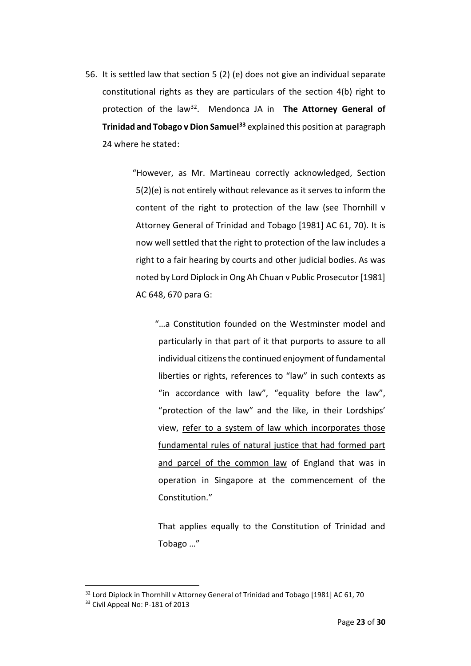56. It is settled law that section 5 (2) (e) does not give an individual separate constitutional rights as they are particulars of the section 4(b) right to protection of the law<sup>32</sup>. Mendonca JA in The Attorney General of **Trinidad and Tobago v Dion Samuel<sup>33</sup>** explained this position at paragraph 24 where he stated:

> "However, as Mr. Martineau correctly acknowledged, Section 5(2)(e) is not entirely without relevance as it serves to inform the content of the right to protection of the law (see Thornhill v Attorney General of Trinidad and Tobago [1981] AC 61, 70). It is now well settled that the right to protection of the law includes a right to a fair hearing by courts and other judicial bodies. As was noted by Lord Diplock in Ong Ah Chuan v Public Prosecutor [1981] AC 648, 670 para G:

"…a Constitution founded on the Westminster model and particularly in that part of it that purports to assure to all individual citizens the continued enjoyment of fundamental liberties or rights, references to "law" in such contexts as "in accordance with law", "equality before the law", "protection of the law" and the like, in their Lordships' view, refer to a system of law which incorporates those fundamental rules of natural justice that had formed part and parcel of the common law of England that was in operation in Singapore at the commencement of the Constitution."

That applies equally to the Constitution of Trinidad and Tobago …"

1

<sup>&</sup>lt;sup>32</sup> Lord Diplock in Thornhill v Attorney General of Trinidad and Tobago [1981] AC 61, 70

<sup>33</sup> Civil Appeal No: P-181 of 2013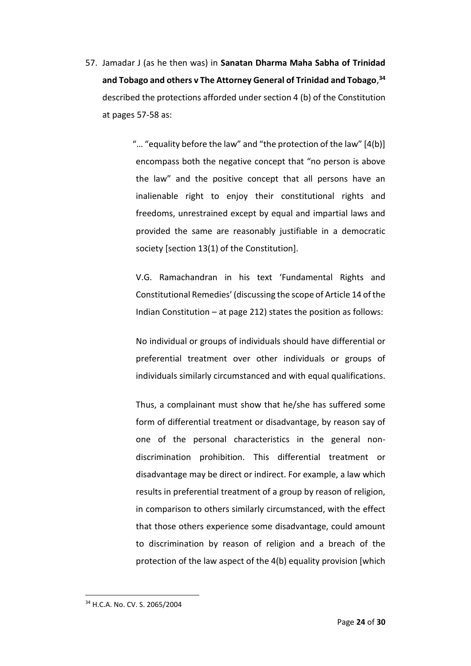57. Jamadar J (as he then was) in **Sanatan Dharma Maha Sabha of Trinidad and Tobago and others v The Attorney General of Trinidad and Tobago**, **34** described the protections afforded under section 4 (b) of the Constitution at pages 57-58 as:

> "… "equality before the law" and "the protection of the law" [4(b)] encompass both the negative concept that "no person is above the law" and the positive concept that all persons have an inalienable right to enjoy their constitutional rights and freedoms, unrestrained except by equal and impartial laws and provided the same are reasonably justifiable in a democratic society [section 13(1) of the Constitution].

V.G. Ramachandran in his text 'Fundamental Rights and Constitutional Remedies' (discussing the scope of Article 14 of the Indian Constitution – at page 212) states the position as follows:

No individual or groups of individuals should have differential or preferential treatment over other individuals or groups of individuals similarly circumstanced and with equal qualifications.

Thus, a complainant must show that he/she has suffered some form of differential treatment or disadvantage, by reason say of one of the personal characteristics in the general nondiscrimination prohibition. This differential treatment or disadvantage may be direct or indirect. For example, a law which results in preferential treatment of a group by reason of religion, in comparison to others similarly circumstanced, with the effect that those others experience some disadvantage, could amount to discrimination by reason of religion and a breach of the protection of the law aspect of the 4(b) equality provision [which

<sup>34</sup> H.C.A. No. CV. S. 2065/2004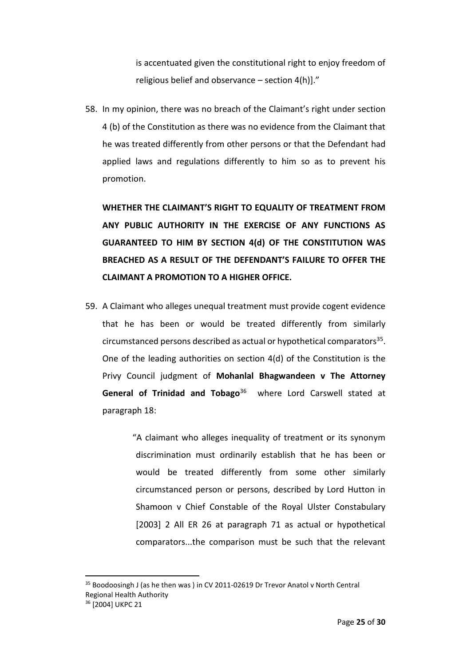is accentuated given the constitutional right to enjoy freedom of religious belief and observance – section 4(h)]."

58. In my opinion, there was no breach of the Claimant's right under section 4 (b) of the Constitution as there was no evidence from the Claimant that he was treated differently from other persons or that the Defendant had applied laws and regulations differently to him so as to prevent his promotion.

**WHETHER THE CLAIMANT'S RIGHT TO EQUALITY OF TREATMENT FROM ANY PUBLIC AUTHORITY IN THE EXERCISE OF ANY FUNCTIONS AS GUARANTEED TO HIM BY SECTION 4(d) OF THE CONSTITUTION WAS BREACHED AS A RESULT OF THE DEFENDANT'S FAILURE TO OFFER THE CLAIMANT A PROMOTION TO A HIGHER OFFICE.**

59. A Claimant who alleges unequal treatment must provide cogent evidence that he has been or would be treated differently from similarly circumstanced persons described as actual or hypothetical comparators<sup>35</sup>. One of the leading authorities on section 4(d) of the Constitution is the Privy Council judgment of **Mohanlal Bhagwandeen v The Attorney General of Trinidad and Tobago**<sup>36</sup> where Lord Carswell stated at paragraph 18:

> "A claimant who alleges inequality of treatment or its synonym discrimination must ordinarily establish that he has been or would be treated differently from some other similarly circumstanced person or persons, described by Lord Hutton in Shamoon v Chief Constable of the Royal Ulster Constabulary [2003] 2 All ER 26 at paragraph 71 as actual or hypothetical comparators...the comparison must be such that the relevant

<sup>35</sup> Boodoosingh J (as he then was ) in CV 2011-02619 Dr Trevor Anatol v North Central Regional Health Authority

<sup>36</sup> [2004] UKPC 21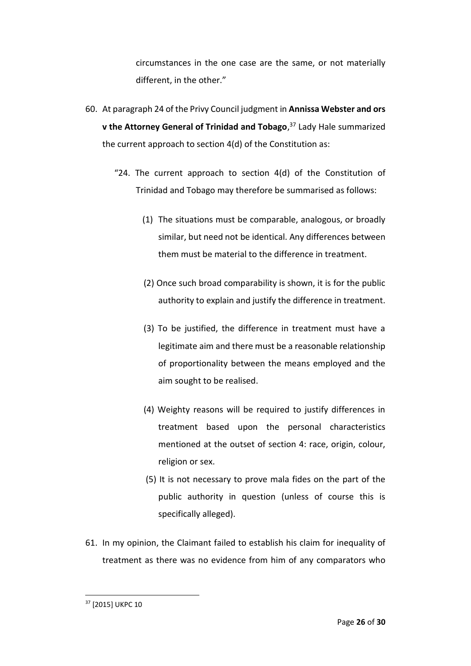circumstances in the one case are the same, or not materially different, in the other."

- 60. At paragraph 24 of the Privy Council judgment in **Annissa Webster and ors v the Attorney General of Trinidad and Tobago**, <sup>37</sup> Lady Hale summarized the current approach to section 4(d) of the Constitution as:
	- "24. The current approach to section 4(d) of the Constitution of Trinidad and Tobago may therefore be summarised as follows:
		- (1) The situations must be comparable, analogous, or broadly similar, but need not be identical. Any differences between them must be material to the difference in treatment.
		- (2) Once such broad comparability is shown, it is for the public authority to explain and justify the difference in treatment.
		- (3) To be justified, the difference in treatment must have a legitimate aim and there must be a reasonable relationship of proportionality between the means employed and the aim sought to be realised.
		- (4) Weighty reasons will be required to justify differences in treatment based upon the personal characteristics mentioned at the outset of section 4: race, origin, colour, religion or sex.
		- (5) It is not necessary to prove mala fides on the part of the public authority in question (unless of course this is specifically alleged).
- 61. In my opinion, the Claimant failed to establish his claim for inequality of treatment as there was no evidence from him of any comparators who

**<sup>.</sup>** <sup>37</sup> [2015] UKPC 10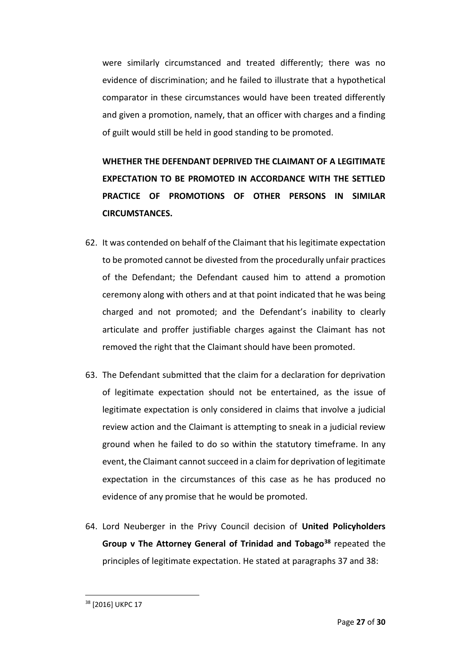were similarly circumstanced and treated differently; there was no evidence of discrimination; and he failed to illustrate that a hypothetical comparator in these circumstances would have been treated differently and given a promotion, namely, that an officer with charges and a finding of guilt would still be held in good standing to be promoted.

**WHETHER THE DEFENDANT DEPRIVED THE CLAIMANT OF A LEGITIMATE EXPECTATION TO BE PROMOTED IN ACCORDANCE WITH THE SETTLED PRACTICE OF PROMOTIONS OF OTHER PERSONS IN SIMILAR CIRCUMSTANCES.**

- 62. It was contended on behalf of the Claimant that his legitimate expectation to be promoted cannot be divested from the procedurally unfair practices of the Defendant; the Defendant caused him to attend a promotion ceremony along with others and at that point indicated that he was being charged and not promoted; and the Defendant's inability to clearly articulate and proffer justifiable charges against the Claimant has not removed the right that the Claimant should have been promoted.
- 63. The Defendant submitted that the claim for a declaration for deprivation of legitimate expectation should not be entertained, as the issue of legitimate expectation is only considered in claims that involve a judicial review action and the Claimant is attempting to sneak in a judicial review ground when he failed to do so within the statutory timeframe. In any event, the Claimant cannot succeed in a claim for deprivation of legitimate expectation in the circumstances of this case as he has produced no evidence of any promise that he would be promoted.
- 64. Lord Neuberger in the Privy Council decision of **United Policyholders Group v The Attorney General of Trinidad and Tobago<sup>38</sup>** repeated the principles of legitimate expectation. He stated at paragraphs 37 and 38:

<sup>38</sup> [2016] UKPC 17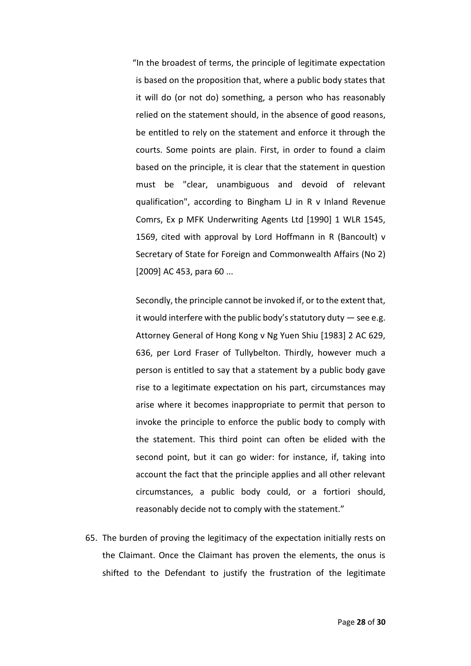"In the broadest of terms, the principle of legitimate expectation is based on the proposition that, where a public body states that it will do (or not do) something, a person who has reasonably relied on the statement should, in the absence of good reasons, be entitled to rely on the statement and enforce it through the courts. Some points are plain. First, in order to found a claim based on the principle, it is clear that the statement in question must be "clear, unambiguous and devoid of relevant qualification", according to Bingham LJ in R v Inland Revenue Comrs, Ex p MFK Underwriting Agents Ltd [1990] 1 WLR 1545, 1569, cited with approval by Lord Hoffmann in R (Bancoult) v Secretary of State for Foreign and Commonwealth Affairs (No 2) [2009] AC 453, para 60 ...

Secondly, the principle cannot be invoked if, or to the extent that, it would interfere with the public body's statutory duty  $-$  see e.g. Attorney General of Hong Kong v Ng Yuen Shiu [1983] 2 AC 629, 636, per Lord Fraser of Tullybelton. Thirdly, however much a person is entitled to say that a statement by a public body gave rise to a legitimate expectation on his part, circumstances may arise where it becomes inappropriate to permit that person to invoke the principle to enforce the public body to comply with the statement. This third point can often be elided with the second point, but it can go wider: for instance, if, taking into account the fact that the principle applies and all other relevant circumstances, a public body could, or a fortiori should, reasonably decide not to comply with the statement."

65. The burden of proving the legitimacy of the expectation initially rests on the Claimant. Once the Claimant has proven the elements, the onus is shifted to the Defendant to justify the frustration of the legitimate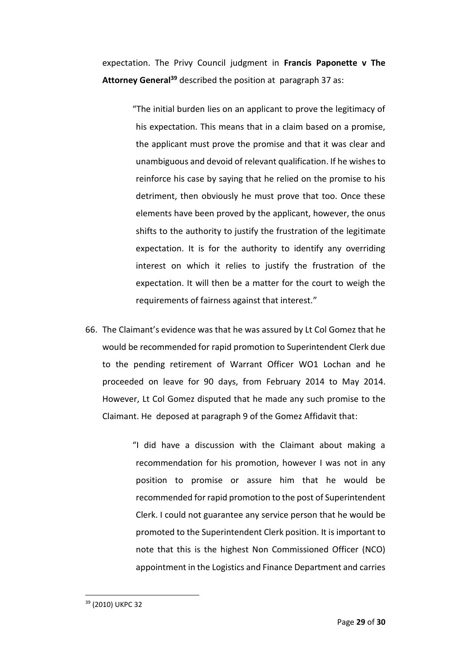expectation. The Privy Council judgment in **Francis Paponette v The Attorney General<sup>39</sup>** described the position at paragraph 37 as:

> "The initial burden lies on an applicant to prove the legitimacy of his expectation. This means that in a claim based on a promise, the applicant must prove the promise and that it was clear and unambiguous and devoid of relevant qualification. If he wishes to reinforce his case by saying that he relied on the promise to his detriment, then obviously he must prove that too. Once these elements have been proved by the applicant, however, the onus shifts to the authority to justify the frustration of the legitimate expectation. It is for the authority to identify any overriding interest on which it relies to justify the frustration of the expectation. It will then be a matter for the court to weigh the requirements of fairness against that interest."

66. The Claimant's evidence was that he was assured by Lt Col Gomez that he would be recommended for rapid promotion to Superintendent Clerk due to the pending retirement of Warrant Officer WO1 Lochan and he proceeded on leave for 90 days, from February 2014 to May 2014. However, Lt Col Gomez disputed that he made any such promise to the Claimant. He deposed at paragraph 9 of the Gomez Affidavit that:

> "I did have a discussion with the Claimant about making a recommendation for his promotion, however I was not in any position to promise or assure him that he would be recommended for rapid promotion to the post of Superintendent Clerk. I could not guarantee any service person that he would be promoted to the Superintendent Clerk position. It is important to note that this is the highest Non Commissioned Officer (NCO) appointment in the Logistics and Finance Department and carries

<sup>39</sup> (2010) UKPC 32